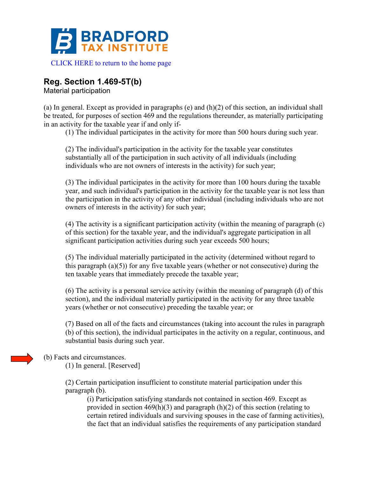

# **Reg. Section 1.469-5T(b)**

Material participation

(a) In general. Except as provided in paragraphs (e) and (h)(2) of this section, an individual shall be treated, for purposes of section 469 and the regulations thereunder, as materially participating in an activity for the taxable year if and only if-

(1) The individual participates in the activity for more than 500 hours during such year.

(2) The individual's participation in the activity for the taxable year constitutes substantially all of the participation in such activity of all individuals (including individuals who are not owners of interests in the activity) for such year;

(3) The individual participates in the activity for more than 100 hours during the taxable year, and such individual's participation in the activity for the taxable year is not less than the participation in the activity of any other individual (including individuals who are not owners of interests in the activity) for such year;

(4) The activity is a significant participation activity (within the meaning of paragraph (c) of this section) for the taxable year, and the individual's aggregate participation in all significant participation activities during such year exceeds 500 hours;

(5) The individual materially participated in the activity (determined without regard to this paragraph  $(a)(5)$  for any five taxable years (whether or not consecutive) during the ten taxable years that immediately precede the taxable year;

(6) The activity is a personal service activity (within the meaning of paragraph (d) of this section), and the individual materially participated in the activity for any three taxable years (whether or not consecutive) preceding the taxable year; or

(7) Based on all of the facts and circumstances (taking into account the rules in paragraph (b) of this section), the individual participates in the activity on a regular, continuous, and substantial basis during such year.

### (b) Facts and circumstances.

(1) In general. [Reserved]

(2) Certain participation insufficient to constitute material participation under this paragraph (b).

(i) Participation satisfying standards not contained in section 469. Except as provided in section  $469(h)(3)$  and paragraph  $(h)(2)$  of this section (relating to certain retired individuals and surviving spouses in the case of farming activities), the fact that an individual satisfies the requirements of any participation standard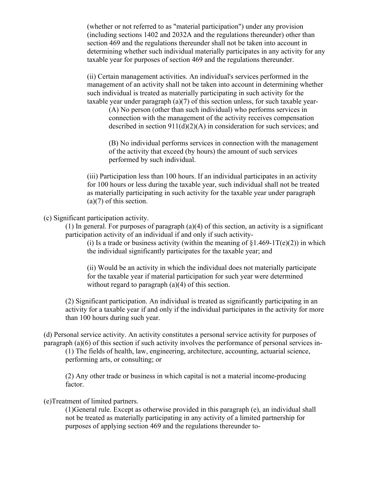(whether or not referred to as "material participation") under any provision (including sections 1402 and 2032A and the regulations thereunder) other than section 469 and the regulations thereunder shall not be taken into account in determining whether such individual materially participates in any activity for any taxable year for purposes of section 469 and the regulations thereunder.

(ii) Certain management activities. An individual's services performed in the management of an activity shall not be taken into account in determining whether such individual is treated as materially participating in such activity for the taxable year under paragraph (a)(7) of this section unless, for such taxable year-

(A) No person (other than such individual) who performs services in connection with the management of the activity receives compensation described in section 911(d)(2)(A) in consideration for such services; and

(B) No individual performs services in connection with the management of the activity that exceed (by hours) the amount of such services performed by such individual.

(iii) Participation less than 100 hours. If an individual participates in an activity for 100 hours or less during the taxable year, such individual shall not be treated as materially participating in such activity for the taxable year under paragraph (a)(7) of this section.

(c) Significant participation activity.

(1) In general. For purposes of paragraph (a)(4) of this section, an activity is a significant participation activity of an individual if and only if such activity-

(i) Is a trade or business activity (within the meaning of  $\S1.469-1T(e)(2)$ ) in which the individual significantly participates for the taxable year; and

(ii) Would be an activity in which the individual does not materially participate for the taxable year if material participation for such year were determined without regard to paragraph (a)(4) of this section.

(2) Significant participation. An individual is treated as significantly participating in an activity for a taxable year if and only if the individual participates in the activity for more than 100 hours during such year.

(d) Personal service activity. An activity constitutes a personal service activity for purposes of paragraph (a)(6) of this section if such activity involves the performance of personal services in-

(1) The fields of health, law, engineering, architecture, accounting, actuarial science, performing arts, or consulting; or

(2) Any other trade or business in which capital is not a material income-producing factor.

(e)Treatment of limited partners.

(1)General rule. Except as otherwise provided in this paragraph (e), an individual shall not be treated as materially participating in any activity of a limited partnership for purposes of applying section 469 and the regulations thereunder to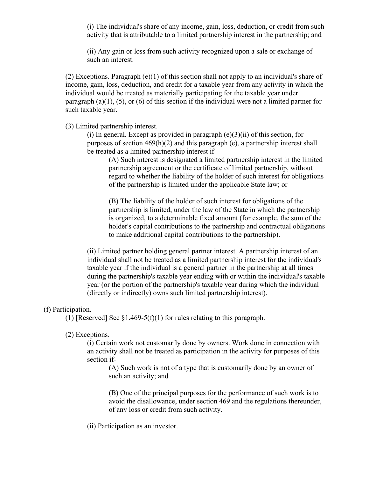(i) The individual's share of any income, gain, loss, deduction, or credit from such activity that is attributable to a limited partnership interest in the partnership; and

(ii) Any gain or loss from such activity recognized upon a sale or exchange of such an interest.

(2) Exceptions. Paragraph (e)(1) of this section shall not apply to an individual's share of income, gain, loss, deduction, and credit for a taxable year from any activity in which the individual would be treated as materially participating for the taxable year under paragraph (a)(1), (5), or (6) of this section if the individual were not a limited partner for such taxable year.

(3) Limited partnership interest.

(i) In general. Except as provided in paragraph  $(e)(3)(ii)$  of this section, for purposes of section 469(h)(2) and this paragraph (e), a partnership interest shall be treated as a limited partnership interest if-

(A) Such interest is designated a limited partnership interest in the limited partnership agreement or the certificate of limited partnership, without regard to whether the liability of the holder of such interest for obligations of the partnership is limited under the applicable State law; or

(B) The liability of the holder of such interest for obligations of the partnership is limited, under the law of the State in which the partnership is organized, to a determinable fixed amount (for example, the sum of the holder's capital contributions to the partnership and contractual obligations to make additional capital contributions to the partnership).

(ii) Limited partner holding general partner interest. A partnership interest of an individual shall not be treated as a limited partnership interest for the individual's taxable year if the individual is a general partner in the partnership at all times during the partnership's taxable year ending with or within the individual's taxable year (or the portion of the partnership's taxable year during which the individual (directly or indirectly) owns such limited partnership interest).

#### (f) Participation.

(1) [Reserved] See  $\S1.469-5(f)(1)$  for rules relating to this paragraph.

#### (2) Exceptions.

(i) Certain work not customarily done by owners. Work done in connection with an activity shall not be treated as participation in the activity for purposes of this section if-

(A) Such work is not of a type that is customarily done by an owner of such an activity; and

(B) One of the principal purposes for the performance of such work is to avoid the disallowance, under section 469 and the regulations thereunder, of any loss or credit from such activity.

(ii) Participation as an investor.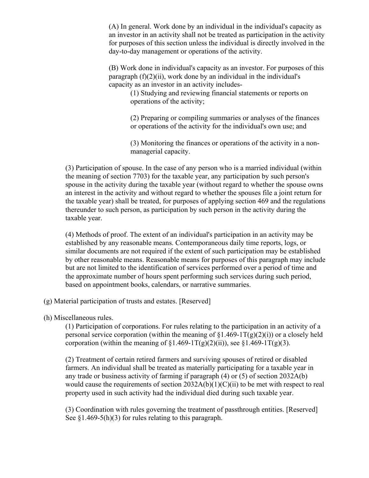(A) In general. Work done by an individual in the individual's capacity as an investor in an activity shall not be treated as participation in the activity for purposes of this section unless the individual is directly involved in the day-to-day management or operations of the activity.

(B) Work done in individual's capacity as an investor. For purposes of this paragraph  $(f)(2)(ii)$ , work done by an individual in the individual's capacity as an investor in an activity includes-

(1) Studying and reviewing financial statements or reports on operations of the activity;

(2) Preparing or compiling summaries or analyses of the finances or operations of the activity for the individual's own use; and

(3) Monitoring the finances or operations of the activity in a nonmanagerial capacity.

(3) Participation of spouse. In the case of any person who is a married individual (within the meaning of section 7703) for the taxable year, any participation by such person's spouse in the activity during the taxable year (without regard to whether the spouse owns an interest in the activity and without regard to whether the spouses file a joint return for the taxable year) shall be treated, for purposes of applying section 469 and the regulations thereunder to such person, as participation by such person in the activity during the taxable year.

(4) Methods of proof. The extent of an individual's participation in an activity may be established by any reasonable means. Contemporaneous daily time reports, logs, or similar documents are not required if the extent of such participation may be established by other reasonable means. Reasonable means for purposes of this paragraph may include but are not limited to the identification of services performed over a period of time and the approximate number of hours spent performing such services during such period, based on appointment books, calendars, or narrative summaries.

- (g) Material participation of trusts and estates. [Reserved]
- (h) Miscellaneous rules.

(1) Participation of corporations. For rules relating to the participation in an activity of a personal service corporation (within the meaning of  $\S1.469-1T(g)(2)(i)$ ) or a closely held corporation (within the meaning of  $\S1.469-1T(g)(2)(ii)$ ), see  $\S1.469-1T(g)(3)$ .

(2) Treatment of certain retired farmers and surviving spouses of retired or disabled farmers. An individual shall be treated as materially participating for a taxable year in any trade or business activity of farming if paragraph (4) or (5) of section 2032A(b) would cause the requirements of section  $2032A(b)(1)(C)(ii)$  to be met with respect to real property used in such activity had the individual died during such taxable year.

(3) Coordination with rules governing the treatment of passthrough entities. [Reserved] See  $\S1.469-5(h)(3)$  for rules relating to this paragraph.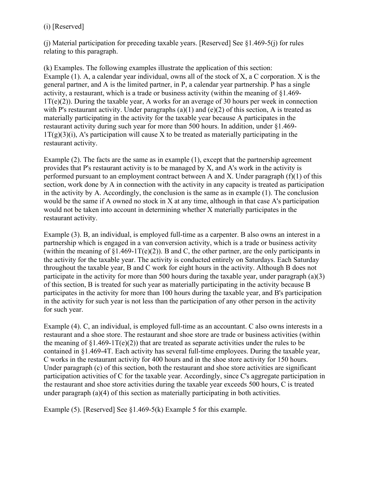### (i) [Reserved]

(j) Material participation for preceding taxable years. [Reserved] See §1.469-5(j) for rules relating to this paragraph.

(k) Examples. The following examples illustrate the application of this section: Example (1). A, a calendar year individual, owns all of the stock of X, a C corporation. X is the general partner, and A is the limited partner, in P, a calendar year partnership. P has a single activity, a restaurant, which is a trade or business activity (within the meaning of §1.469-  $1T(e)(2)$ ). During the taxable year, A works for an average of 30 hours per week in connection with P's restaurant activity. Under paragraphs  $(a)(1)$  and  $(e)(2)$  of this section, A is treated as materially participating in the activity for the taxable year because A participates in the restaurant activity during such year for more than 500 hours. In addition, under §1.469-  $1T(g)(3)(i)$ , A's participation will cause X to be treated as materially participating in the restaurant activity.

Example (2). The facts are the same as in example (1), except that the partnership agreement provides that P's restaurant activity is to be managed by X, and A's work in the activity is performed pursuant to an employment contract between A and X. Under paragraph (f)(1) of this section, work done by A in connection with the activity in any capacity is treated as participation in the activity by A. Accordingly, the conclusion is the same as in example (1). The conclusion would be the same if A owned no stock in X at any time, although in that case A's participation would not be taken into account in determining whether X materially participates in the restaurant activity.

Example (3). B, an individual, is employed full-time as a carpenter. B also owns an interest in a partnership which is engaged in a van conversion activity, which is a trade or business activity (within the meaning of  $\S1.469-1T(e)(2)$ ). B and C, the other partner, are the only participants in the activity for the taxable year. The activity is conducted entirely on Saturdays. Each Saturday throughout the taxable year, B and C work for eight hours in the activity. Although B does not participate in the activity for more than 500 hours during the taxable year, under paragraph (a)(3) of this section, B is treated for such year as materially participating in the activity because B participates in the activity for more than 100 hours during the taxable year, and B's participation in the activity for such year is not less than the participation of any other person in the activity for such year.

Example (4). C, an individual, is employed full-time as an accountant. C also owns interests in a restaurant and a shoe store. The restaurant and shoe store are trade or business activities (within the meaning of  $\S1.469-1T(e)(2)$  that are treated as separate activities under the rules to be contained in §1.469-4T. Each activity has several full-time employees. During the taxable year, C works in the restaurant activity for 400 hours and in the shoe store activity for 150 hours. Under paragraph (c) of this section, both the restaurant and shoe store activities are significant participation activities of C for the taxable year. Accordingly, since C's aggregate participation in the restaurant and shoe store activities during the taxable year exceeds 500 hours, C is treated under paragraph (a)(4) of this section as materially participating in both activities.

Example (5). [Reserved] See  $\S1.469-5(k)$  Example 5 for this example.